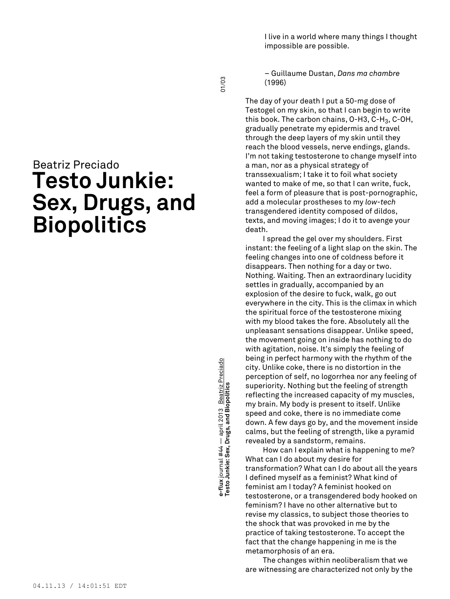I live in a world where many things I thought impossible are possible.

– Guillaume Dustan, *Dans ma chambre* (1996)

The day of your death I put a 50-mg dose of Testogel on my skin, so that I can begin to write this book. The carbon chains, O-H3, C-H<sub>3</sub>, C-OH, gradually penetrate my epidermis and travel through the deep layers of my skin until they reach the blood vessels, nerve endings, glands. I'm not taking testosterone to change myself into a man, nor as a physical strategy of transsexualism; I take it to foil what society wanted to make of me, so that I can write, fuck, feel a form of pleasure that is post-pornographic, add a molecular prostheses to my *low-tech* transgendered identity composed of dildos, texts, and moving images; I do it to avenge your death.

I spread the gel over my shoulders. First instant: the feeling of a light slap on the skin. The feeling changes into one of coldness before it disappears. Then nothing for a day or two. Nothing. Waiting. Then an extraordinary lucidity settles in gradually, accompanied by an explosion of the desire to fuck, walk, go out everywhere in the city. This is the climax in which the spiritual force of the testosterone mixing with my blood takes the fore. Absolutely all the unpleasant sensations disappear. Unlike speed, the movement going on inside has nothing to do with agitation, noise. It's simply the feeling of being in perfect harmony with the rhythm of the city. Unlike coke, there is no distortion in the perception of self, no logorrhea nor any feeling of superiority. Nothing but the feeling of strength reflecting the increased capacity of my muscles, my brain. My body is present to itself. Unlike speed and coke, there is no immediate come down. A few days go by, and the movement inside calms, but the feeling of strength, like a pyramid revealed by a sandstorm, remains.

How can I explain what is happening to me? What can I do about my desire for transformation? What can I do about all the years I defined myself as a feminist? What kind of feminist am I today? A feminist hooked on testosterone, or a transgendered body hooked on feminism? I have no other alternative but to revise my classics, to subject those theories to the shock that was provoked in me by the practice of taking testosterone. To accept the fact that the change happening in me is the metamorphosis of an era.

The changes within neoliberalism that we are witnessing are characterized not only by the

Beatriz Preciado **Testo Junkie: Sex, Drugs, and Biopolitics**

**Testo Junkie: Sex, Drugs, and Biopolitics** 01/03 e-flux journal #44 — april 2013 Beatriz Preciado<br>Testo Junkie: Sex, Drugs, and Biopolitics **e-flux** journal #44 — april 2013 Beatriz Preciado

01/03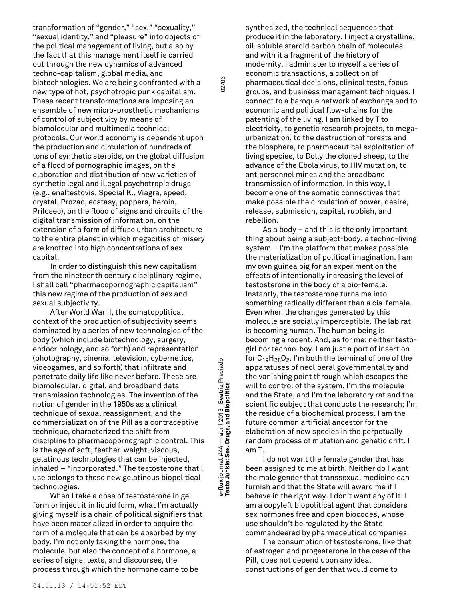transformation of "gender," "sex," "sexuality," "sexual identity," and "pleasure" into objects of the political management of living, but also by the fact that this management itself is carried out through the new dynamics of advanced techno-capitalism, global media, and biotechnologies. We are being confronted with a new type of hot, psychotropic punk capitalism. These recent transformations are imposing an ensemble of new micro-prosthetic mechanisms of control of subjectivity by means of biomolecular and multimedia technical protocols. Our world economy is dependent upon the production and circulation of hundreds of tons of synthetic steroids, on the global diffusion of a flood of pornographic images, on the elaboration and distribution of new varieties of synthetic legal and illegal psychotropic drugs (e.g., enaltestovis, Special K., Viagra, speed, crystal, Prozac, ecstasy, poppers, heroin, Prilosec), on the flood of signs and circuits of the digital transmission of information, on the extension of a form of diffuse urban architecture to the entire planet in which megacities of misery are knotted into high concentrations of sexcapital.

In order to distinguish this new capitalism from the nineteenth century disciplinary regime, I shall call "pharmacopornographic capitalism" this new regime of the production of sex and sexual subjectivity.

After World War II, the somatopolitical context of the production of subjectivity seems dominated by a series of new technologies of the body (which include biotechnology, surgery, endocrinology, and so forth) and representation (photography, cinema, television, cybernetics, videogames, and so forth) that infiltrate and penetrate daily life like never before. These are biomolecular, digital, and broadband data transmission technologies. The invention of the notion of gender in the 1950s as a clinical technique of sexual reassignment, and the commercialization of the Pill as a contraceptive technique, characterized the shift from discipline to pharmacopornographic control. This is the age of soft, feather-weight, viscous, gelatinous technologies that can be injected, inhaled – "incorporated." The testosterone that I use belongs to these new gelatinous biopolitical technologies.

When I take a dose of testosterone in gel form or inject it in liquid form, what I'm actually giving myself is a chain of political signifiers that have been materialized in order to acquire the form of a molecule that can be absorbed by my body. I'm not only taking the hormone, the molecule, but also the concept of a hormone, a series of signs, texts, and discourses, the process through which the hormone came to be

synthesized, the technical sequences that produce it in the laboratory. I inject a crystalline, oil-soluble steroid carbon chain of molecules, and with it a fragment of the history of modernity. I administer to myself a series of economic transactions, a collection of pharmaceutical decisions, clinical tests, focus groups, and business management techniques. I connect to a baroque network of exchange and to economic and political flow-chains for the patenting of the living. I am linked by T to electricity, to genetic research projects, to megaurbanization, to the destruction of forests and the biosphere, to pharmaceutical exploitation of living species, to Dolly the cloned sheep, to the advance of the Ebola virus, to HIV mutation, to antipersonnel mines and the broadband transmission of information. In this way, I become one of the somatic connectives that make possible the circulation of power, desire, release, submission, capital, rubbish, and rebellion.

As a body – and this is the only important thing about being a subject-body, a techno-living system – I'm the platform that makes possible the materialization of political imagination. I am my own guinea pig for an experiment on the effects of intentionally increasing the level of testosterone in the body of a bio-female. Instantly, the testosterone turns me into something radically different than a cis-female. Even when the changes generated by this molecule are socially imperceptible. The lab rat is becoming human. The human being is becoming a rodent. And, as for me: neither testogirl nor techno-boy. I am just a port of insertion for  $\mathsf{C}_{19}\mathsf{H}_{28}\mathsf{O}_2$ . I'm both the terminal of one of the apparatuses of neoliberal governmentality and the vanishing point through which escapes the will to control of the system. I'm the molecule and the State, and I'm the laboratory rat and the scientific subject that conducts the research; I'm the residue of a biochemical process. I am the future common artificial ancestor for the elaboration of new species in the perpetually random process of mutation and genetic drift. I am T.

I do not want the female gender that has been assigned to me at birth. Neither do I want the male gender that transsexual medicine can furnish and that the State will award me if I behave in the right way. I don't want any of it. I am a copyleft biopolitical agent that considers sex hormones free and open biocodes, whose use shouldn't be regulated by the State commandeered by pharmaceutical companies.

The consumption of testosterone, like that of estrogen and progesterone in the case of the Pill, does not depend upon any ideal constructions of gender that would come to

**Testo Junkie: Sex, Drugs, and Biopolitics** 02/03 e-flux journal #44 - april 2013 Beatriz Preciado<br>Testo Junkie: Sex, Drugs, and Biopolitics **e-flux** journal #44 — april 2013 Beatriz Preciado

02/03